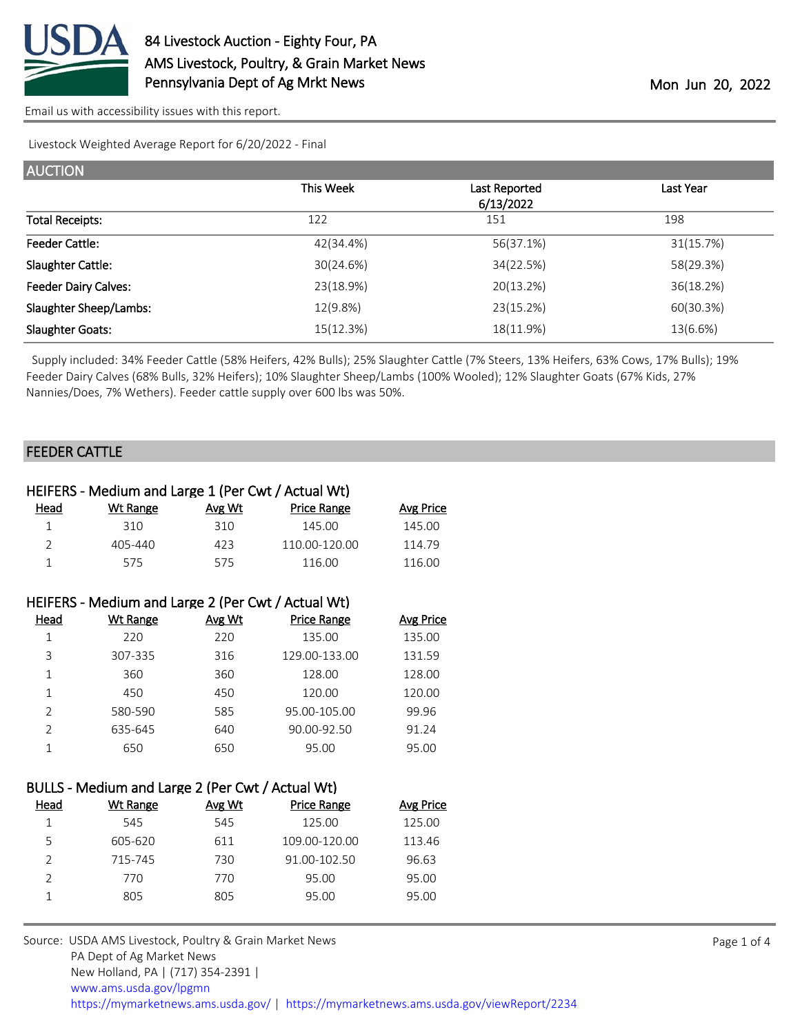

Livestock Weighted Average Report for 6/20/2022 - Final

| <b>AUCTION</b>              |           |                            |           |
|-----------------------------|-----------|----------------------------|-----------|
|                             | This Week | Last Reported<br>6/13/2022 | Last Year |
| <b>Total Receipts:</b>      | 122       | 151                        | 198       |
| <b>Feeder Cattle:</b>       | 42(34.4%) | 56(37.1%)                  | 31(15.7%) |
| Slaughter Cattle:           | 30(24.6%) | 34(22.5%)                  | 58(29.3%) |
| <b>Feeder Dairy Calves:</b> | 23(18.9%) | 20(13.2%)                  | 36(18.2%) |
| Slaughter Sheep/Lambs:      | 12(9.8%)  | 23(15.2%)                  | 60(30.3%) |
| <b>Slaughter Goats:</b>     | 15(12.3%) | 18(11.9%)                  | 13(6.6%)  |

 Supply included: 34% Feeder Cattle (58% Heifers, 42% Bulls); 25% Slaughter Cattle (7% Steers, 13% Heifers, 63% Cows, 17% Bulls); 19% Feeder Dairy Calves (68% Bulls, 32% Heifers); 10% Slaughter Sheep/Lambs (100% Wooled); 12% Slaughter Goats (67% Kids, 27% Nannies/Does, 7% Wethers). Feeder cattle supply over 600 lbs was 50%.

### FEEDER CATTLE

| HEIFERS - Medium and Large 1 (Per Cwt / Actual Wt) |             |        |               |                  |  |
|----------------------------------------------------|-------------|--------|---------------|------------------|--|
| Head                                               | Wt Range    | Avg Wt | Price Range   | <b>Avg Price</b> |  |
|                                                    | 310.        | 310    | 145.00        | 145.00           |  |
| $\mathcal{D}$                                      | $405 - 440$ | 423    | 110.00-120.00 | 114.79           |  |
|                                                    | 575         | 575    | 116.00        | 116.00           |  |

| HEIFERS - Medium and Large 2 (Per Cwt / Actual Wt) |                 |        |                    |           |  |
|----------------------------------------------------|-----------------|--------|--------------------|-----------|--|
| Head                                               | <b>Wt Range</b> | Avg Wt | <b>Price Range</b> | Avg Price |  |
| 1                                                  | 220             | 220    | 135.00             | 135.00    |  |
| 3                                                  | 307-335         | 316    | 129.00-133.00      | 131.59    |  |
| 1                                                  | 360             | 360    | 128.00             | 128.00    |  |
| 1                                                  | 450             | 450    | 120.00             | 120.00    |  |
| $\mathfrak{D}$                                     | 580-590         | 585    | 95.00-105.00       | 99.96     |  |
| 2                                                  | 635-645         | 640    | 90.00-92.50        | 91.24     |  |
|                                                    | 650             | 650    | 95.00              | 95.00     |  |

| BULLS - Medium and Large 2 (Per Cwt / Actual Wt) |  |  |
|--------------------------------------------------|--|--|
|--------------------------------------------------|--|--|

| Head | Wt Range | Avg Wt | <b>Price Range</b> | Avg Price |
|------|----------|--------|--------------------|-----------|
|      | 545      | 545    | 125.00             | 125.00    |
| 5    | 605-620  | 611    | 109.00-120.00      | 113.46    |
|      | 715-745  | 730    | $91.00 - 102.50$   | 96.63     |
|      | 770      | 770    | 95.00              | 95.00     |
|      | 805      | 805    | 95.00              | 95.00     |
|      |          |        |                    |           |

Source: USDA AMS Livestock, Poultry & Grain Market News PA Dept of Ag Market News New Holland, PA | (717) 354-2391 | [www.ams.usda.gov/lpgmn](https://www.ams.usda.gov/market-news) <https://mymarketnews.ams.usda.gov/> [|](https://www.ams.usda.gov/market-news) <https://mymarketnews.ams.usda.gov/viewReport/2234>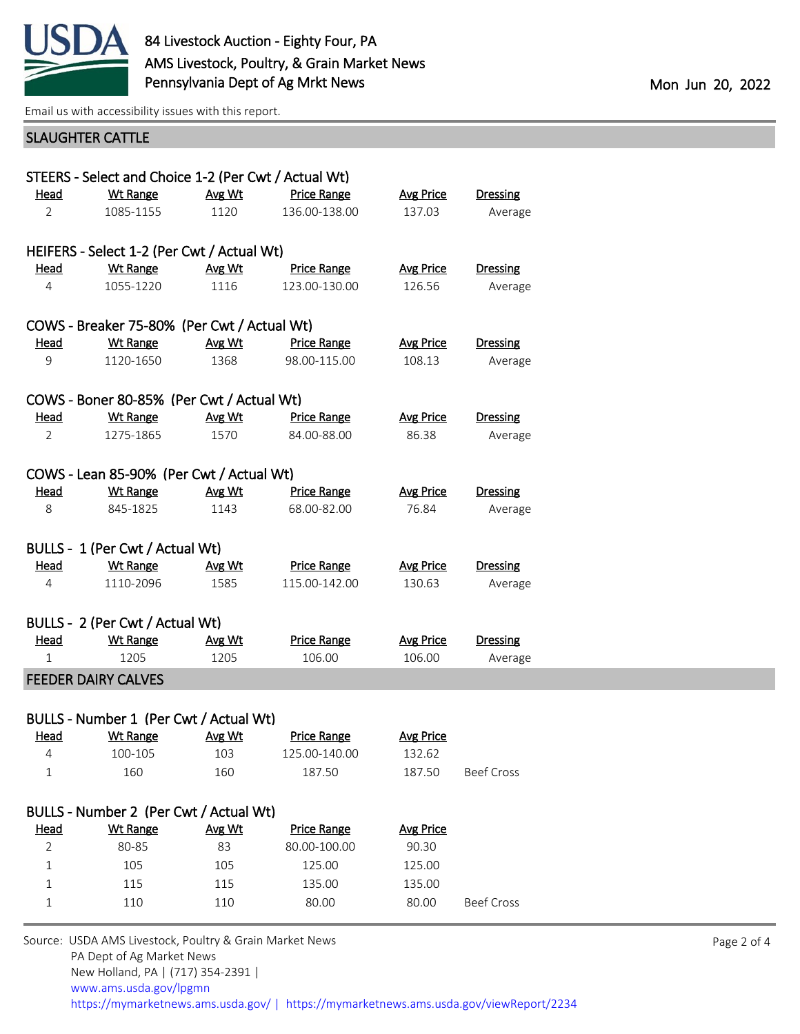

# SLAUGHTER CATTLE

|                | STEERS - Select and Choice 1-2 (Per Cwt / Actual Wt) |        |                    |                  |                   |  |
|----------------|------------------------------------------------------|--------|--------------------|------------------|-------------------|--|
| Head           | <b>Wt Range</b>                                      | Avg Wt | Price Range        | <b>Avg Price</b> | <b>Dressing</b>   |  |
| $\overline{2}$ | 1085-1155                                            | 1120   | 136.00-138.00      | 137.03           | Average           |  |
|                | HEIFERS - Select 1-2 (Per Cwt / Actual Wt)           |        |                    |                  |                   |  |
| Head           | <b>Wt Range</b>                                      | Avg Wt | <b>Price Range</b> | <b>Avg Price</b> | <b>Dressing</b>   |  |
| 4              | 1055-1220                                            | 1116   | 123.00-130.00      | 126.56           | Average           |  |
|                | COWS - Breaker 75-80% (Per Cwt / Actual Wt)          |        |                    |                  |                   |  |
| Head           | <b>Wt Range</b>                                      | Avg Wt | <b>Price Range</b> | <b>Avg Price</b> | <b>Dressing</b>   |  |
| 9              | 1120-1650                                            | 1368   | 98.00-115.00       | 108.13           | Average           |  |
|                | COWS - Boner 80-85% (Per Cwt / Actual Wt)            |        |                    |                  |                   |  |
| Head           | Wt Range                                             | Avg Wt | <b>Price Range</b> | <b>Avg Price</b> | <b>Dressing</b>   |  |
| 2              | 1275-1865                                            | 1570   | 84.00-88.00        | 86.38            | Average           |  |
|                | COWS - Lean 85-90% (Per Cwt / Actual Wt)             |        |                    |                  |                   |  |
| <u>Head</u>    | <b>Wt Range</b>                                      | Avg Wt | <b>Price Range</b> | <b>Avg Price</b> | <b>Dressing</b>   |  |
| 8              | 845-1825                                             | 1143   | 68.00-82.00        | 76.84            | Average           |  |
|                | BULLS - 1 (Per Cwt / Actual Wt)                      |        |                    |                  |                   |  |
| <b>Head</b>    | <b>Wt Range</b>                                      | Avg Wt | <b>Price Range</b> | <b>Avg Price</b> | <b>Dressing</b>   |  |
| 4              | 1110-2096                                            | 1585   | 115.00-142.00      | 130.63           | Average           |  |
|                | BULLS - 2 (Per Cwt / Actual Wt)                      |        |                    |                  |                   |  |
| <u>Head</u>    | <b>Wt Range</b>                                      | Avg Wt | <b>Price Range</b> | <b>Avg Price</b> | <b>Dressing</b>   |  |
| 1              | 1205                                                 | 1205   | 106.00             | 106.00           | Average           |  |
|                | <b>FEEDER DAIRY CALVES</b>                           |        |                    |                  |                   |  |
|                | BULLS - Number 1 (Per Cwt / Actual Wt)               |        |                    |                  |                   |  |
| <u>Head</u>    | <b>Wt Range</b>                                      | Avg Wt | <b>Price Range</b> | <b>Avg Price</b> |                   |  |
|                | 100-105                                              | 103    | 125.00-140.00      | 132.62           |                   |  |
| 1              | 160                                                  | 160    | 187.50             | 187.50           | <b>Beef Cross</b> |  |
|                |                                                      |        |                    |                  |                   |  |
|                | BULLS - Number 2 (Per Cwt / Actual Wt)               |        |                    |                  |                   |  |
| <b>Head</b>    | <b>Wt Range</b>                                      | Avg Wt | <b>Price Range</b> | <b>Avg Price</b> |                   |  |
| $\overline{2}$ | 80-85                                                | 83     | 80.00-100.00       | 90.30            |                   |  |
| $\mathbf 1$    | 105                                                  | 105    | 125.00             | 125.00           |                   |  |
| 1              | 115                                                  | 115    | 135.00             | 135.00           |                   |  |

1 110 110 80.00 80.00 Beef Cross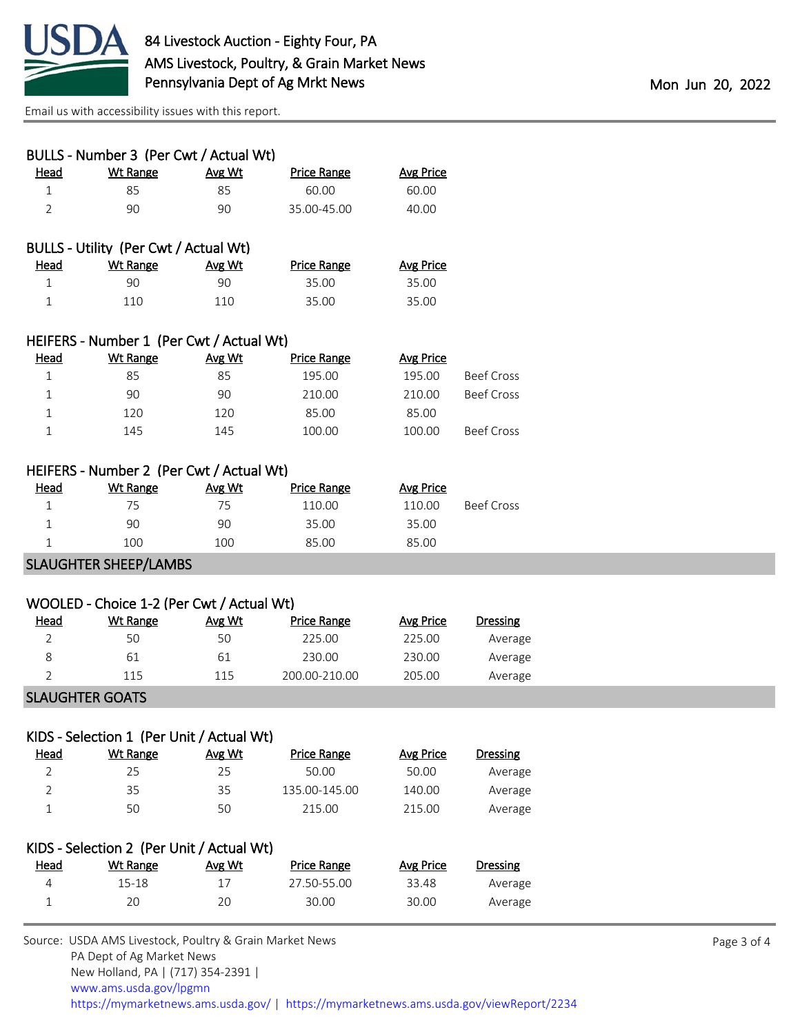

| BULLS - Number 3 (Per Cwt / Actual Wt) |                                          |        |                    |                  |  |  |
|----------------------------------------|------------------------------------------|--------|--------------------|------------------|--|--|
| Head                                   | <b>Wt Range</b>                          | Avg Wt | <b>Price Range</b> | Avg Price        |  |  |
| 1                                      | 85                                       | 85     | 60.00              | 60.00            |  |  |
| 2                                      | 90                                       | 90     | 35.00-45.00        | 40.00            |  |  |
|                                        |                                          |        |                    |                  |  |  |
|                                        | BULLS - Utility (Per Cwt / Actual Wt)    |        |                    |                  |  |  |
| Head                                   | Wt Range                                 | Avg Wt | <b>Price Range</b> | Avg Price        |  |  |
|                                        | 90                                       | 90     | 35.00              | 35.00            |  |  |
| 1                                      | 110                                      | 110    | 35.00              | 35.00            |  |  |
|                                        |                                          |        |                    |                  |  |  |
|                                        | HEIFERS - Number 1 (Per Cwt / Actual Wt) |        |                    |                  |  |  |
| Head                                   | Wt Range                                 | Avg Wt | <b>Price Range</b> | <b>Avg Price</b> |  |  |

| . | <u>116 116 126</u> | $\cdots$ | יווטטוואט | 111.7  |            |
|---|--------------------|----------|-----------|--------|------------|
|   | 85                 | 85       | 195.00    | 195.00 | Beef Cross |
|   | 90                 | 90       | 210.00    | 210.00 | Beef Cross |
|   | 120                | 120      | 85.00     | 85.00  |            |
|   | 145                | 145      | 100.00    | 100.00 | Beef Cross |
|   |                    |          |           |        |            |

## HEIFERS - Number 2 (Per Cwt / Actual Wt)

| <u>Head</u> | Wt Range | Avg Wt | <b>Price Range</b> | <b>Avg Price</b> |                   |
|-------------|----------|--------|--------------------|------------------|-------------------|
|             | 75       | 75     | 110.00             | 110.00           | <b>Beef Cross</b> |
|             | 90       | 90     | 35.00              | 35.00            |                   |
|             | 100      | 100    | 85.00              | 85.00            |                   |
|             | . .      |        |                    |                  |                   |

#### SLAUGHTER SHEEP/LAMBS

| WOOLED - Choice 1-2 (Per Cwt / Actual Wt) |          |               |               |           |                 |
|-------------------------------------------|----------|---------------|---------------|-----------|-----------------|
| <u>Head</u>                               | Wt Range | <u>Avg Wt</u> | Price Range   | Avg Price | <b>Dressing</b> |
|                                           | 50       | 50            | 225.00        | 225.00    | Average         |
| 8                                         | 61       | 61            | 230.00        | 230.00    | Average         |
|                                           | 115      | 115           | 200.00-210.00 | 205.00    | Average         |
|                                           |          |               |               |           |                 |

#### SLAUGHTER GOATS

| KIDS - Selection 1 (Per Unit / Actual Wt) |          |        |               |           |          |  |
|-------------------------------------------|----------|--------|---------------|-----------|----------|--|
| <u>Head</u>                               | Wt Range | Avg Wt | Price Range   | Avg Price | Dressing |  |
|                                           | 25       | 25     | 50.00         | 50.00     | Average  |  |
|                                           | 35       | 35     | 135.00-145.00 | 140.00    | Average  |  |
|                                           | 50       | 50     | 215.00        | 215.00    | Average  |  |

| KIDS - Selection 2 (Per Unit / Actual Wt) |           |        |             |           |          |  |
|-------------------------------------------|-----------|--------|-------------|-----------|----------|--|
| Head                                      | Wt Range  | Avg Wt | Price Range | Avg Price | Dressing |  |
| 4                                         | $15 - 18$ | 17     | 27.50-55.00 | 33.48     | Average  |  |
|                                           | 20        | 20     | 30.00       | 30.00     | Average  |  |